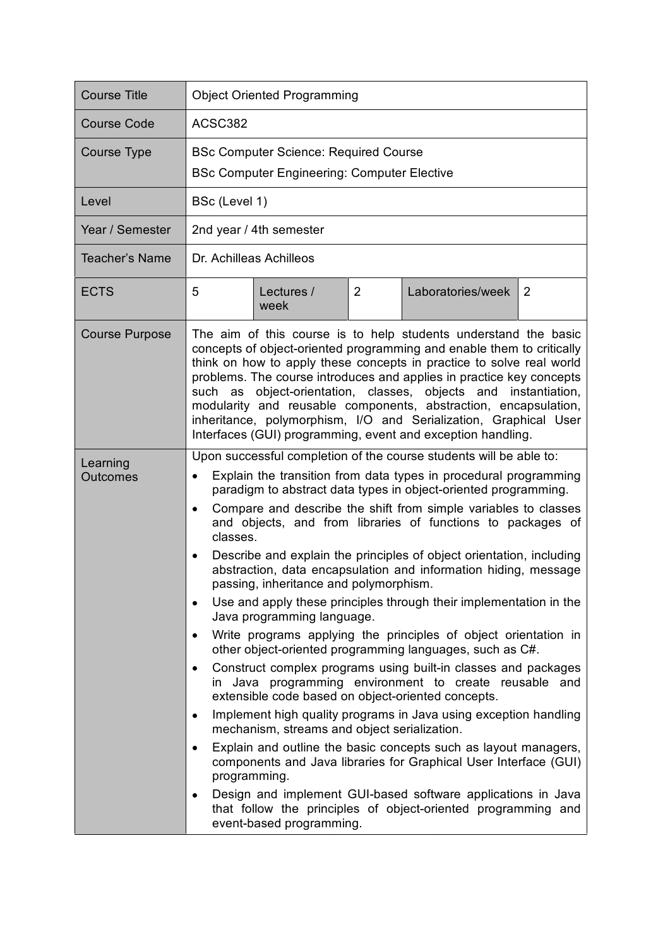| <b>Course Title</b>   | <b>Object Oriented Programming</b>                                                                                                                                                                                                                                                                                                                                                                                                                                                                                                                                                                                                                                                                                                                                                                                                                                                                                                                                                                                                                                                                                                                                                                                                                                                                                                                                                                                                                                                             |
|-----------------------|------------------------------------------------------------------------------------------------------------------------------------------------------------------------------------------------------------------------------------------------------------------------------------------------------------------------------------------------------------------------------------------------------------------------------------------------------------------------------------------------------------------------------------------------------------------------------------------------------------------------------------------------------------------------------------------------------------------------------------------------------------------------------------------------------------------------------------------------------------------------------------------------------------------------------------------------------------------------------------------------------------------------------------------------------------------------------------------------------------------------------------------------------------------------------------------------------------------------------------------------------------------------------------------------------------------------------------------------------------------------------------------------------------------------------------------------------------------------------------------------|
| <b>Course Code</b>    | ACSC382                                                                                                                                                                                                                                                                                                                                                                                                                                                                                                                                                                                                                                                                                                                                                                                                                                                                                                                                                                                                                                                                                                                                                                                                                                                                                                                                                                                                                                                                                        |
| <b>Course Type</b>    | <b>BSc Computer Science: Required Course</b><br><b>BSc Computer Engineering: Computer Elective</b>                                                                                                                                                                                                                                                                                                                                                                                                                                                                                                                                                                                                                                                                                                                                                                                                                                                                                                                                                                                                                                                                                                                                                                                                                                                                                                                                                                                             |
| Level                 | BSc (Level 1)                                                                                                                                                                                                                                                                                                                                                                                                                                                                                                                                                                                                                                                                                                                                                                                                                                                                                                                                                                                                                                                                                                                                                                                                                                                                                                                                                                                                                                                                                  |
| Year / Semester       | 2nd year / 4th semester                                                                                                                                                                                                                                                                                                                                                                                                                                                                                                                                                                                                                                                                                                                                                                                                                                                                                                                                                                                                                                                                                                                                                                                                                                                                                                                                                                                                                                                                        |
| <b>Teacher's Name</b> | Dr. Achilleas Achilleos                                                                                                                                                                                                                                                                                                                                                                                                                                                                                                                                                                                                                                                                                                                                                                                                                                                                                                                                                                                                                                                                                                                                                                                                                                                                                                                                                                                                                                                                        |
| <b>ECTS</b>           | 5<br>$\overline{2}$<br>Laboratories/week<br>Lectures /<br>2<br>week                                                                                                                                                                                                                                                                                                                                                                                                                                                                                                                                                                                                                                                                                                                                                                                                                                                                                                                                                                                                                                                                                                                                                                                                                                                                                                                                                                                                                            |
| <b>Course Purpose</b> | The aim of this course is to help students understand the basic<br>concepts of object-oriented programming and enable them to critically<br>think on how to apply these concepts in practice to solve real world<br>problems. The course introduces and applies in practice key concepts<br>such as object-orientation, classes, objects and instantiation,<br>modularity and reusable components, abstraction, encapsulation,<br>inheritance, polymorphism, I/O and Serialization, Graphical User<br>Interfaces (GUI) programming, event and exception handling.                                                                                                                                                                                                                                                                                                                                                                                                                                                                                                                                                                                                                                                                                                                                                                                                                                                                                                                              |
| Learning<br>Outcomes  | Upon successful completion of the course students will be able to:<br>Explain the transition from data types in procedural programming<br>٠<br>paradigm to abstract data types in object-oriented programming.<br>Compare and describe the shift from simple variables to classes<br>$\bullet$<br>and objects, and from libraries of functions to packages of<br>classes.<br>Describe and explain the principles of object orientation, including<br>$\bullet$<br>abstraction, data encapsulation and information hiding, message<br>passing, inheritance and polymorphism.<br>Use and apply these principles through their implementation in the<br>$\bullet$<br>Java programming language.<br>Write programs applying the principles of object orientation in<br>٠<br>other object-oriented programming languages, such as C#.<br>Construct complex programs using built-in classes and packages<br>$\bullet$<br>in Java programming environment to create reusable and<br>extensible code based on object-oriented concepts.<br>Implement high quality programs in Java using exception handling<br>٠<br>mechanism, streams and object serialization.<br>Explain and outline the basic concepts such as layout managers,<br>$\bullet$<br>components and Java libraries for Graphical User Interface (GUI)<br>programming.<br>Design and implement GUI-based software applications in Java<br>٠<br>that follow the principles of object-oriented programming and<br>event-based programming. |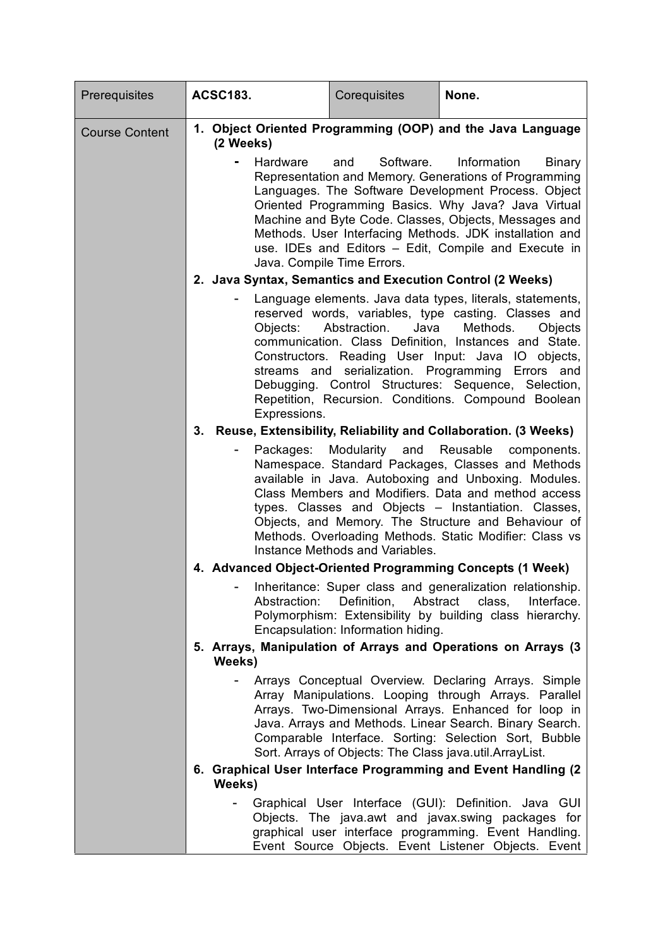| Prerequisites         | <b>ACSC183.</b> |                          | Corequisites                                               | None.                                                                                                                                                                                                                                                                                                                                                                                                                      |
|-----------------------|-----------------|--------------------------|------------------------------------------------------------|----------------------------------------------------------------------------------------------------------------------------------------------------------------------------------------------------------------------------------------------------------------------------------------------------------------------------------------------------------------------------------------------------------------------------|
| <b>Course Content</b> | (2 Weeks)       |                          |                                                            | 1. Object Oriented Programming (OOP) and the Java Language                                                                                                                                                                                                                                                                                                                                                                 |
|                       |                 | Hardware                 | Software.<br>and<br>Java. Compile Time Errors.             | Information<br><b>Binary</b><br>Representation and Memory. Generations of Programming<br>Languages. The Software Development Process. Object<br>Oriented Programming Basics. Why Java? Java Virtual<br>Machine and Byte Code. Classes, Objects, Messages and<br>Methods. User Interfacing Methods. JDK installation and<br>use. IDEs and Editors - Edit, Compile and Execute in                                            |
|                       |                 |                          |                                                            | 2. Java Syntax, Semantics and Execution Control (2 Weeks)                                                                                                                                                                                                                                                                                                                                                                  |
|                       |                 | Objects:<br>Expressions. | Abstraction.<br>Java                                       | Language elements. Java data types, literals, statements,<br>reserved words, variables, type casting. Classes and<br>Methods.<br>Objects<br>communication. Class Definition, Instances and State.<br>Constructors. Reading User Input: Java IO objects,<br>streams and serialization. Programming Errors and<br>Debugging. Control Structures: Sequence, Selection,<br>Repetition, Recursion. Conditions. Compound Boolean |
|                       |                 |                          |                                                            | 3. Reuse, Extensibility, Reliability and Collaboration. (3 Weeks)                                                                                                                                                                                                                                                                                                                                                          |
|                       |                 | Packages:                | Modularity and Reusable<br>Instance Methods and Variables. | components.<br>Namespace. Standard Packages, Classes and Methods<br>available in Java. Autoboxing and Unboxing. Modules.<br>Class Members and Modifiers. Data and method access<br>types. Classes and Objects - Instantiation. Classes,<br>Objects, and Memory. The Structure and Behaviour of<br>Methods. Overloading Methods. Static Modifier: Class vs                                                                  |
|                       |                 |                          |                                                            | 4. Advanced Object-Oriented Programming Concepts (1 Week)                                                                                                                                                                                                                                                                                                                                                                  |
|                       |                 | Abstraction:             | Definition,<br>Encapsulation: Information hiding.          | Inheritance: Super class and generalization relationship.<br>Abstract<br>class,<br>Interface.<br>Polymorphism: Extensibility by building class hierarchy.                                                                                                                                                                                                                                                                  |
|                       | Weeks)          |                          |                                                            | 5. Arrays, Manipulation of Arrays and Operations on Arrays (3                                                                                                                                                                                                                                                                                                                                                              |
|                       |                 |                          | Sort. Arrays of Objects: The Class java.util.ArrayList.    | Arrays Conceptual Overview. Declaring Arrays. Simple<br>Array Manipulations. Looping through Arrays. Parallel<br>Arrays. Two-Dimensional Arrays. Enhanced for loop in<br>Java. Arrays and Methods. Linear Search. Binary Search.<br>Comparable Interface. Sorting: Selection Sort, Bubble                                                                                                                                  |
|                       | Weeks)          |                          |                                                            | 6. Graphical User Interface Programming and Event Handling (2)                                                                                                                                                                                                                                                                                                                                                             |
|                       |                 |                          |                                                            | Graphical User Interface (GUI): Definition. Java GUI<br>Objects. The java.awt and javax.swing packages for<br>graphical user interface programming. Event Handling.<br>Event Source Objects. Event Listener Objects. Event                                                                                                                                                                                                 |